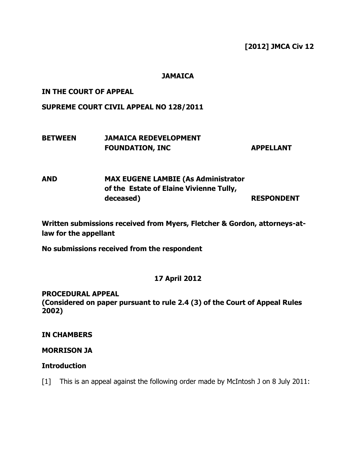### **[2012] JMCA Civ 12**

#### **JAMAICA**

#### **IN THE COURT OF APPEAL**

### **SUPREME COURT CIVIL APPEAL NO 128/2011**

# **BETWEEN JAMAICA REDEVELOPMENT FOUNDATION, INC APPELLANT**

# **AND MAX EUGENE LAMBIE (As Administrator of the Estate of Elaine Vivienne Tully, deceased) RESPONDENT**

**Written submissions received from Myers, Fletcher & Gordon, attorneys-atlaw for the appellant**

**No submissions received from the respondent**

### **17 April 2012**

#### **PROCEDURAL APPEAL**

**(Considered on paper pursuant to rule 2.4 (3) of the Court of Appeal Rules 2002)**

### **IN CHAMBERS**

### **MORRISON JA**

### **Introduction**

[1] This is an appeal against the following order made by McIntosh J on 8 July 2011: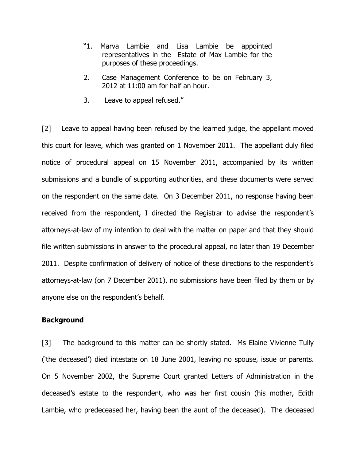- "1. Marva Lambie and Lisa Lambie be appointed representatives in the Estate of Max Lambie for the purposes of these proceedings.
- 2. Case Management Conference to be on February 3, 2012 at 11:00 am for half an hour.
- 3. Leave to appeal refused."

[2] Leave to appeal having been refused by the learned judge, the appellant moved this court for leave, which was granted on 1 November 2011. The appellant duly filed notice of procedural appeal on 15 November 2011, accompanied by its written submissions and a bundle of supporting authorities, and these documents were served on the respondent on the same date. On 3 December 2011, no response having been received from the respondent, I directed the Registrar to advise the respondent's attorneys-at-law of my intention to deal with the matter on paper and that they should file written submissions in answer to the procedural appeal, no later than 19 December 2011. Despite confirmation of delivery of notice of these directions to the respondent's attorneys-at-law (on 7 December 2011), no submissions have been filed by them or by anyone else on the respondent's behalf.

#### **Background**

[3] The background to this matter can be shortly stated. Ms Elaine Vivienne Tully ('the deceased') died intestate on 18 June 2001, leaving no spouse, issue or parents. On 5 November 2002, the Supreme Court granted Letters of Administration in the deceased's estate to the respondent, who was her first cousin (his mother, Edith Lambie, who predeceased her, having been the aunt of the deceased). The deceased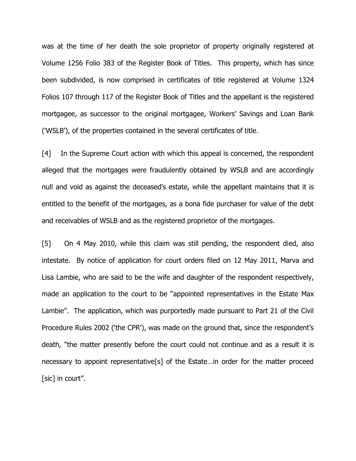was at the time of her death the sole proprietor of property originally registered at Volume 1256 Folio 383 of the Register Book of Titles. This property, which has since been subdivided, is now comprised in certificates of title registered at Volume 1324 Folios 107 through 117 of the Register Book of Titles and the appellant is the registered mortgagee, as successor to the original mortgagee, Workers' Savings and Loan Bank ('WSLB'), of the properties contained in the several certificates of title.

[4] In the Supreme Court action with which this appeal is concerned, the respondent alleged that the mortgages were fraudulently obtained by WSLB and are accordingly null and void as against the deceased's estate, while the appellant maintains that it is entitled to the benefit of the mortgages, as a bona fide purchaser for value of the debt and receivables of WSLB and as the registered proprietor of the mortgages.

[5] On 4 May 2010, while this claim was still pending, the respondent died, also intestate. By notice of application for court orders filed on 12 May 2011, Marva and Lisa Lambie, who are said to be the wife and daughter of the respondent respectively, made an application to the court to be "appointed representatives in the Estate Max Lambie". The application, which was purportedly made pursuant to Part 21 of the Civil Procedure Rules 2002 ('the CPR'), was made on the ground that, since the respondent's death, "the matter presently before the court could not continue and as a result it is necessary to appoint representative[s] of the Estate…in order for the matter proceed [sic] in court".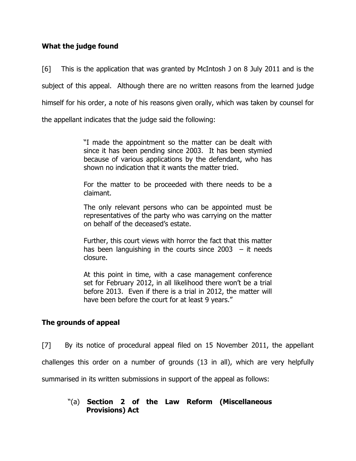### **What the judge found**

[6] This is the application that was granted by McIntosh J on 8 July 2011 and is the subject of this appeal. Although there are no written reasons from the learned judge himself for his order, a note of his reasons given orally, which was taken by counsel for

the appellant indicates that the judge said the following:

"I made the appointment so the matter can be dealt with since it has been pending since 2003. It has been stymied because of various applications by the defendant, who has shown no indication that it wants the matter tried.

For the matter to be proceeded with there needs to be a claimant.

The only relevant persons who can be appointed must be representatives of the party who was carrying on the matter on behalf of the deceased's estate.

Further, this court views with horror the fact that this matter has been languishing in the courts since  $2003 - it$  needs closure.

At this point in time, with a case management conference set for February 2012, in all likelihood there won't be a trial before 2013. Even if there is a trial in 2012, the matter will have been before the court for at least 9 years."

# **The grounds of appeal**

[7] By its notice of procedural appeal filed on 15 November 2011, the appellant

challenges this order on a number of grounds (13 in all), which are very helpfully

summarised in its written submissions in support of the appeal as follows:

### "(a) **Section 2 of the Law Reform (Miscellaneous Provisions) Act**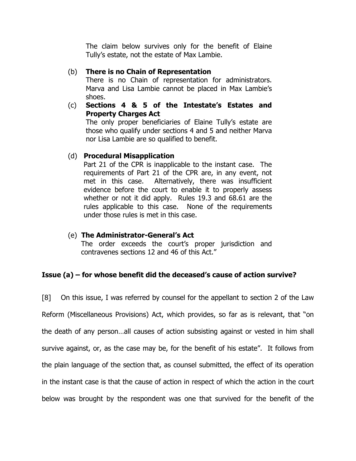The claim below survives only for the benefit of Elaine Tully's estate, not the estate of Max Lambie.

### (b) **There is no Chain of Representation**

There is no Chain of representation for administrators. Marva and Lisa Lambie cannot be placed in Max Lambie's shoes.

(c) **Sections 4 & 5 of the Intestate's Estates and Property Charges Act** The only proper beneficiaries of Elaine Tully's estate are

those who qualify under sections 4 and 5 and neither Marva nor Lisa Lambie are so qualified to benefit.

### (d) **Procedural Misapplication**

Part 21 of the CPR is inapplicable to the instant case. The requirements of Part 21 of the CPR are, in any event, not met in this case. Alternatively, there was insufficient evidence before the court to enable it to properly assess whether or not it did apply. Rules 19.3 and 68.61 are the rules applicable to this case. None of the requirements under those rules is met in this case.

(e) **The Administrator-General's Act** The order exceeds the court's proper jurisdiction and contravenes sections 12 and 46 of this Act."

# **Issue (a) – for whose benefit did the deceased's cause of action survive?**

[8] On this issue, I was referred by counsel for the appellant to section 2 of the Law Reform (Miscellaneous Provisions) Act, which provides, so far as is relevant, that "on the death of any person…all causes of action subsisting against or vested in him shall survive against, or, as the case may be, for the benefit of his estate". It follows from the plain language of the section that, as counsel submitted, the effect of its operation in the instant case is that the cause of action in respect of which the action in the court below was brought by the respondent was one that survived for the benefit of the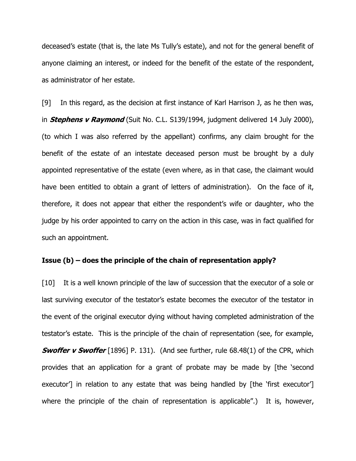deceased's estate (that is, the late Ms Tully's estate), and not for the general benefit of anyone claiming an interest, or indeed for the benefit of the estate of the respondent, as administrator of her estate.

[9] In this regard, as the decision at first instance of Karl Harrison J, as he then was, in **Stephens v Raymond** (Suit No. C.L. S139/1994, judgment delivered 14 July 2000), (to which I was also referred by the appellant) confirms, any claim brought for the benefit of the estate of an intestate deceased person must be brought by a duly appointed representative of the estate (even where, as in that case, the claimant would have been entitled to obtain a grant of letters of administration). On the face of it, therefore, it does not appear that either the respondent's wife or daughter, who the judge by his order appointed to carry on the action in this case, was in fact qualified for such an appointment.

#### **Issue (b) – does the principle of the chain of representation apply?**

[10] It is a well known principle of the law of succession that the executor of a sole or last surviving executor of the testator's estate becomes the executor of the testator in the event of the original executor dying without having completed administration of the testator's estate. This is the principle of the chain of representation (see, for example, **Swoffer v Swoffer** [1896] P. 131). (And see further, rule 68.48(1) of the CPR, which provides that an application for a grant of probate may be made by [the 'second executor<sup>'</sup>] in relation to any estate that was being handled by [the 'first executor'] where the principle of the chain of representation is applicable".) It is, however,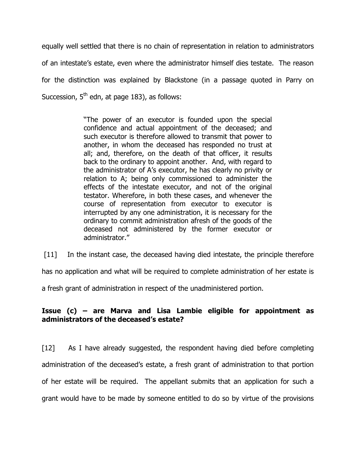equally well settled that there is no chain of representation in relation to administrators of an intestate's estate, even where the administrator himself dies testate. The reason for the distinction was explained by Blackstone (in a passage quoted in Parry on Succession,  $5<sup>th</sup>$  edn, at page 183), as follows:

> "The power of an executor is founded upon the special confidence and actual appointment of the deceased; and such executor is therefore allowed to transmit that power to another, in whom the deceased has responded no trust at all; and, therefore, on the death of that officer, it results back to the ordinary to appoint another. And, with regard to the administrator of A's executor, he has clearly no privity or relation to A; being only commissioned to administer the effects of the intestate executor, and not of the original testator. Wherefore, in both these cases, and whenever the course of representation from executor to executor is interrupted by any one administration, it is necessary for the ordinary to commit administration afresh of the goods of the deceased not administered by the former executor or administrator."

[11] In the instant case, the deceased having died intestate, the principle therefore has no application and what will be required to complete administration of her estate is

a fresh grant of administration in respect of the unadministered portion.

## **Issue (c) – are Marva and Lisa Lambie eligible for appointment as administrators of the deceased's estate?**

[12] As I have already suggested, the respondent having died before completing administration of the deceased's estate, a fresh grant of administration to that portion of her estate will be required. The appellant submits that an application for such a grant would have to be made by someone entitled to do so by virtue of the provisions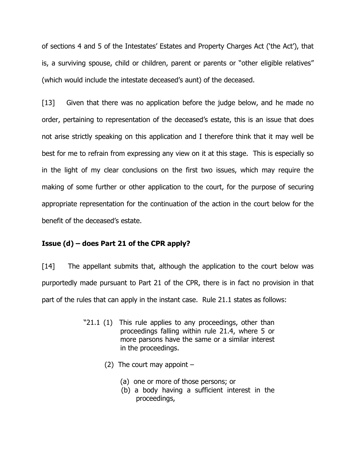of sections 4 and 5 of the Intestates' Estates and Property Charges Act ('the Act'), that is, a surviving spouse, child or children, parent or parents or "other eligible relatives" (which would include the intestate deceased's aunt) of the deceased.

[13] Given that there was no application before the judge below, and he made no order, pertaining to representation of the deceased's estate, this is an issue that does not arise strictly speaking on this application and I therefore think that it may well be best for me to refrain from expressing any view on it at this stage. This is especially so in the light of my clear conclusions on the first two issues, which may require the making of some further or other application to the court, for the purpose of securing appropriate representation for the continuation of the action in the court below for the benefit of the deceased's estate.

### **Issue (d) – does Part 21 of the CPR apply?**

[14] The appellant submits that, although the application to the court below was purportedly made pursuant to Part 21 of the CPR, there is in fact no provision in that part of the rules that can apply in the instant case. Rule 21.1 states as follows:

- "21.1 (1) This rule applies to any proceedings, other than proceedings falling within rule 21.4, where 5 or more parsons have the same or a similar interest in the proceedings.
	- (2) The court may appoint  $-$ 
		- (a) one or more of those persons; or
		- (b) a body having a sufficient interest in the proceedings,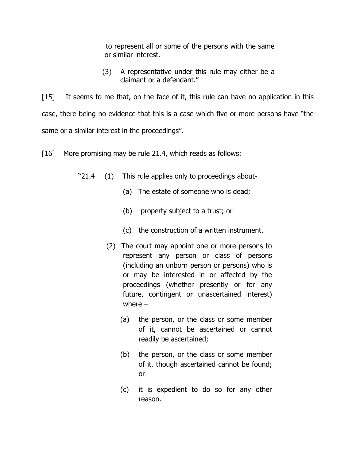to represent all or some of the persons with the same or similar interest.

 (3) A representative under this rule may either be a claimant or a defendant."

[15] It seems to me that, on the face of it, this rule can have no application in this case, there being no evidence that this is a case which five or more persons have "the same or a similar interest in the proceedings".

[16] More promising may be rule 21.4, which reads as follows:

- "21.4 (1) This rule applies only to proceedings about-
	- (a) The estate of someone who is dead;
	- (b) property subject to a trust; or
	- (c) the construction of a written instrument.
	- (2) The court may appoint one or more persons to represent any person or class of persons (including an unborn person or persons) who is or may be interested in or affected by the proceedings (whether presently or for any future, contingent or unascertained interest) where –
		- (a) the person, or the class or some member of it, cannot be ascertained or cannot readily be ascertained;
		- (b) the person, or the class or some member of it, though ascertained cannot be found; or
		- (c) it is expedient to do so for any other reason.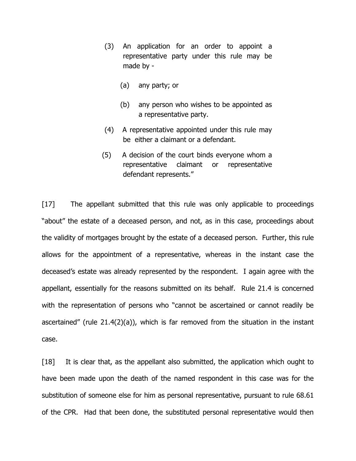- (3) An application for an order to appoint a representative party under this rule may be made by -
	- (a) any party; or
	- (b) any person who wishes to be appointed as a representative party.
- (4) A representative appointed under this rule may be either a claimant or a defendant.
- (5) A decision of the court binds everyone whom a representative claimant or representative defendant represents."

[17] The appellant submitted that this rule was only applicable to proceedings "about" the estate of a deceased person, and not, as in this case, proceedings about the validity of mortgages brought by the estate of a deceased person. Further, this rule allows for the appointment of a representative, whereas in the instant case the deceased's estate was already represented by the respondent. I again agree with the appellant, essentially for the reasons submitted on its behalf. Rule 21.4 is concerned with the representation of persons who "cannot be ascertained or cannot readily be ascertained" (rule 21.4(2)(a)), which is far removed from the situation in the instant case.

[18] It is clear that, as the appellant also submitted, the application which ought to have been made upon the death of the named respondent in this case was for the substitution of someone else for him as personal representative, pursuant to rule 68.61 of the CPR. Had that been done, the substituted personal representative would then